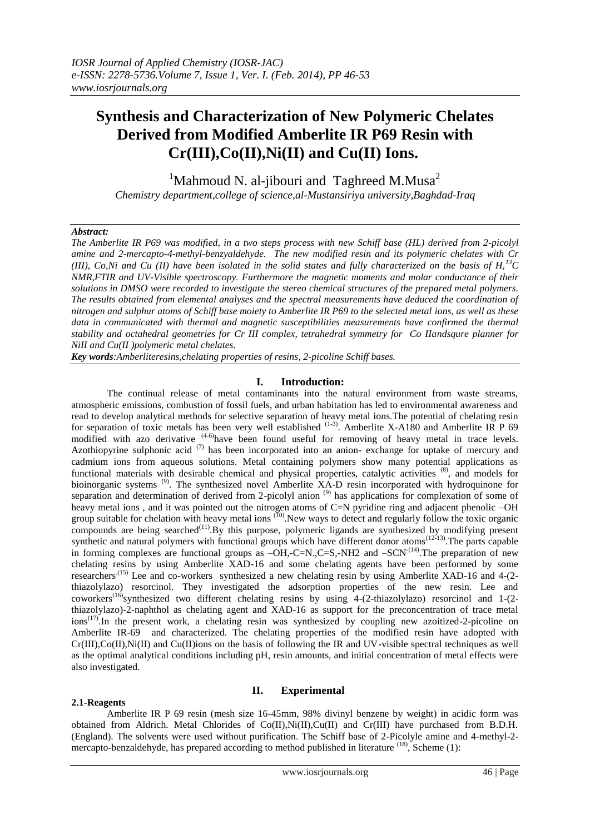# **Synthesis and Characterization of New Polymeric Chelates Derived from Modified Amberlite IR P69 Resin with Cr(III),Co(II),Ni(II) and Cu(II) Ions.**

<sup>1</sup>Mahmoud N. al-jibouri and Taghreed M.Musa<sup>2</sup>

*Chemistry department,college of science,al-Mustansiriya university,Baghdad-Iraq*

## *Abstract:*

*The Amberlite IR P69 was modified, in a two steps process with new Schiff base (HL) derived from 2-picolyl amine and 2-mercapto-4-methyl-benzyaldehyde. The new modified resin and its polymeric chelates with Cr (III), Co,Ni and Cu (II) have been isolated in the solid states and fully characterized on the basis of H,<sup>13</sup>C NMR,FTIR and UV-Visible spectroscopy. Furthermore the magnetic moments and molar conductance of their solutions in DMSO were recorded to investigate the stereo chemical structures of the prepared metal polymers. The results obtained from elemental analyses and the spectral measurements have deduced the coordination of nitrogen and sulphur atoms of Schiff base moiety to Amberlite IR P69 to the selected metal ions, as well as these*  data in communicated with thermal and magnetic susceptibilities measurements have confirmed the *thermal stability and octahedral geometries for Cr III complex, tetrahedral symmetry for Co IIandsqure planner for NiII and Cu(II )polymeric metal chelates.*

*Key words:Amberliteresins,chelating properties of resins, 2-picoline Schiff bases.*

# **I. Introduction:**

The continual release of metal contaminants into the natural environment from waste streams, atmospheric emissions, combustion of fossil fuels, and urban habitation has led to environmental awareness and read to develop analytical methods for selective separation of heavy metal ions.The potential of chelating resin for separation of toxic metals has been very well established <sup>(1-3)</sup>. Amberlite X-A180 and Amberlite IR P 69 modified with azo derivative <sup>(4-6)</sup>have been found useful for removing of heavy metal in trace levels. Azothiopyrine sulphonic acid  $(7)$  has been incorporated into an anion-exchange for uptake of mercury and cadmium ions from aqueous solutions. Metal containing polymers show many potential applications as functional materials with desirable chemical and physical properties, catalytic activities (8), and models for bioinorganic systems<sup>(9)</sup>. The synthesized novel Amberlite XA-D resin incorporated with hydroquinone for separation and determination of derived from 2-picolyl anion<sup>(9)</sup> has applications for complexation of some of heavy metal ions, and it was pointed out the nitrogen atoms of C=N pyridine ring and adjacent phenolic –OH group suitable for chelation with heavy metal ions <sup>(10)</sup>. New ways to detect and regularly follow the toxic organic compounds are being searched $^{(11)}$ . By this purpose, polymeric ligands are synthesized by modifying present synthetic and natural polymers with functional groups which have different donor atoms<sup>(12-13)</sup>. The parts capable in forming complexes are functional groups as  $-\text{OH}$ ,-C=N.,C=S,-NH2 and  $-\text{SCN}^{(14)}$ . The preparation of new chelating resins by using Amberlite XAD-16 and some chelating agents have been performed by some researchers<sup>.(15)</sup> Lee and co-workers synthesized a new chelating resin by using Amberlite XAD-16 and 4-(2thiazolylazo) resorcinol. They investigated the adsorption properties of the new resin. Lee and coworkers<sup>(16)</sup>synthesized two different chelating resins by using 4-(2-thiazolylazo) resorcinol and 1-(2thiazolylazo)-2-naphthol as chelating agent and XAD-16 as support for the preconcentration of trace metal ions<sup>(17)</sup>. In the present work, a chelating resin was synthesized by coupling new azoitized-2-picoline on Amberlite IR-69 and characterized. The chelating properties of the modified resin have adopted with  $Cr(III),Co(II),Ni(II)$  and  $Cu(II)$ ions on the basis of following the IR and UV-visible spectral techniques as well as the optimal analytical conditions including pH, resin amounts, and initial concentration of metal effects were also investigated.

# **II. Experimental**

# **2.1-Reagents**

Amberlite IR P 69 resin (mesh size 16-45mm, 98% divinyl benzene by weight) in acidic form was obtained from Aldrich. Metal Chlorides of Co(II),Ni(II),Cu(II) and Cr(III) have purchased from B.D.H. (England). The solvents were used without purification. The Schiff base of 2-Picolyle amine and 4-methyl-2 mercapto-benzaldehyde, has prepared according to method published in literature <sup>(18)</sup>, Scheme (1):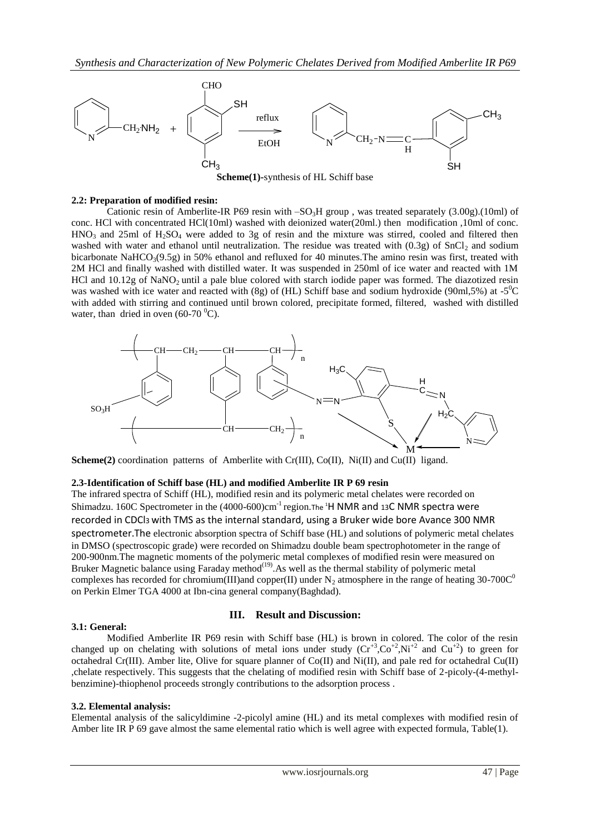

**Scheme(1)-**synthesis of HL Schiff base

#### **2.2: Preparation of modified resin:**

Cationic resin of Amberlite-IR P69 resin with  $-SO<sub>3</sub>H$  group, was treated separately (3.00g).(10ml) of conc. HCl with concentrated HCl(10ml) washed with deionized water(20ml.) then modification ,10ml of conc.  $HNO<sub>3</sub>$  and 25ml of  $H<sub>2</sub>SO<sub>4</sub>$  were added to 3g of resin and the mixture was stirred, cooled and filtered then washed with water and ethanol until neutralization. The residue was treated with  $(0.3g)$  of SnCl<sub>2</sub> and sodium bicarbonate NaHCO<sub>3</sub>(9.5g) in 50% ethanol and refluxed for 40 minutes. The amino resin was first, treated with 2M HCl and finally washed with distilled water. It was suspended in 250ml of ice water and reacted with 1M HCl and  $10.12g$  of NaNO<sub>2</sub> until a pale blue colored with starch iodide paper was formed. The diazotized resin was washed with ice water and reacted with (8g) of (HL) Schiff base and sodium hydroxide (90ml,5%) at -5<sup>0</sup>C with added with stirring and continued until brown colored, precipitate formed, filtered, washed with distilled water, than dried in oven  $(60-70)$ <sup>0</sup>C).



Scheme(2) coordination patterns of Amberlite with Cr(III), Co(II), Ni(II) and Cu(II) ligand.

#### **2.3-Identification of Schiff base (HL) and modified Amberlite IR P 69 resin**

The infrared spectra of Schiff (HL), modified resin and its polymeric metal chelates were recorded on Shimadzu. 160C Spectrometer in the (4000-600)cm<sup>-1</sup> region. The <sup>1</sup>H NMR and 13C NMR spectra were recorded in CDCl3 with TMS as the internal standard, using a Bruker wide bore Avance 300 NMR spectrometer.The electronic absorption spectra of Schiff base (HL) and solutions of polymeric metal chelates in DMSO (spectroscopic grade) were recorded on Shimadzu double beam spectrophotometer in the range of 200-900nm.The magnetic moments of the polymeric metal complexes of modified resin were measured on Bruker Magnetic balance using Faraday method<sup>(19)</sup>. As well as the thermal stability of polymeric metal complexes has recorded for chromium(III)and copper(II) under N<sub>2</sub> atmosphere in the range of heating 30-700C<sup>0</sup> on Perkin Elmer TGA 4000 at Ibn-cina general company(Baghdad).

#### **3.1: General:**

#### **III. Result and Discussion:**

Modified Amberlite IR P69 resin with Schiff base (HL) is brown in colored. The color of the resin changed up on chelating with solutions of metal ions under study  $(Cr^{+3}, Co^{+2}, Ni^{+2}$  and  $Cu^{+2})$  to green for octahedral Cr(III). Amber lite, Olive for square planner of Co(II) and Ni(II), and pale red for octahedral Cu(II) ,chelate respectively. This suggests that the chelating of modified resin with Schiff base of 2-picoly-(4-methylbenzimine)-thiophenol proceeds strongly contributions to the adsorption process .

#### **3.2. Elemental analysis:**

Elemental analysis of the salicyldimine -2-picolyl amine (HL) and its metal complexes with modified resin of Amber lite IR P 69 gave almost the same elemental ratio which is well agree with expected formula, Table(1).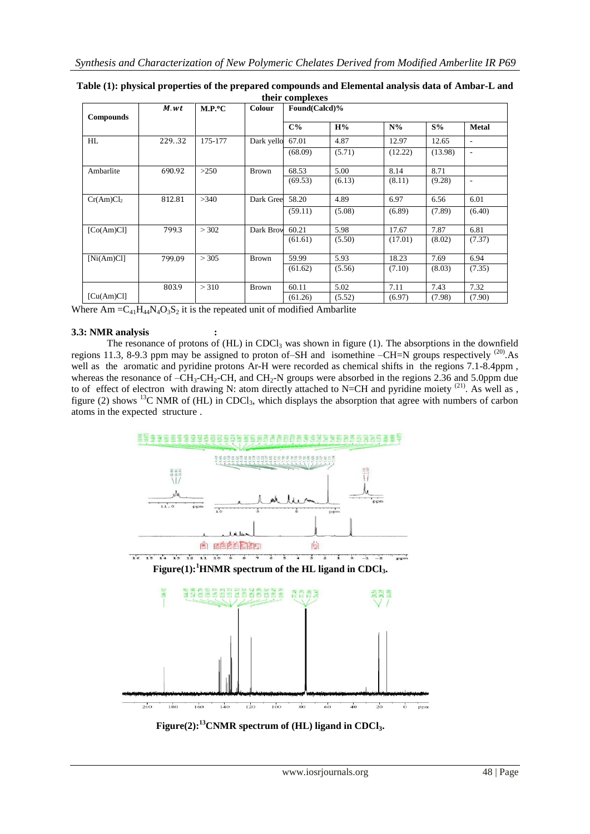| <b>Compounds</b>      | M.wt   | $M.P.^{\circ}C$ | <b>Colour</b> | Found(Calcd)% |        |         |         |                          |  |
|-----------------------|--------|-----------------|---------------|---------------|--------|---------|---------|--------------------------|--|
|                       |        |                 |               | $C\%$         | H%     | $N\%$   | $S\%$   | <b>Metal</b>             |  |
| HL                    | 229.32 | 175-177         | Dark yello    | 67.01         | 4.87   | 12.97   | 12.65   | $\overline{\phantom{a}}$ |  |
|                       |        |                 |               | (68.09)       | (5.71) | (12.22) | (13.98) | $\overline{\phantom{a}}$ |  |
| Ambarlite             | 690.92 | >250            | <b>Brown</b>  | 68.53         | 5.00   | 8.14    | 8.71    |                          |  |
|                       |        |                 |               | (69.53)       | (6.13) | (8.11)  | (9.28)  | $\overline{\phantom{a}}$ |  |
| Cr(Am)Cl <sub>2</sub> | 812.81 | >340            | Dark Gree     | 58.20         | 4.89   | 6.97    | 6.56    | 6.01                     |  |
|                       |        |                 |               | (59.11)       | (5.08) | (6.89)  | (7.89)  | (6.40)                   |  |
| [Co(Am)Cl]            | 799.3  | > 302           | Dark Brow     | 60.21         | 5.98   | 17.67   | 7.87    | 6.81                     |  |
|                       |        |                 |               | (61.61)       | (5.50) | (17.01) | (8.02)  | (7.37)                   |  |
| [Ni(Am)Cl]            | 799.09 | > 305           | <b>Brown</b>  | 59.99         | 5.93   | 18.23   | 7.69    | 6.94                     |  |
|                       |        |                 |               | (61.62)       | (5.56) | (7.10)  | (8.03)  | (7.35)                   |  |
|                       | 803.9  | > 310           | <b>Brown</b>  | 60.11         | 5.02   | 7.11    | 7.43    | 7.32                     |  |
| [Cu(Am)Cl]            |        |                 |               | (61.26)       | (5.52) | (6.97)  | (7.98)  | (7.90)                   |  |

**Table (1): physical properties of the prepared compounds and Elemental analysis data of Ambar-L and their complexes**

Where  $Am = C_{41}H_{44}N_4O_3S_2$  it is the repeated unit of modified Ambarlite

#### **3.3: NMR analysis :**

The resonance of protons of  $(HL)$  in CDCl<sub>3</sub> was shown in figure (1). The absorptions in the downfield regions 11.3, 8-9.3 ppm may be assigned to proton of–SH and isomethine –CH=N groups respectively (20).As well as the aromatic and pyridine protons Ar-H were recorded as chemical shifts in the regions 7.1-8.4ppm , whereas the resonance of  $-CH_3$ -CH, and CH<sub>2</sub>-N groups were absorbed in the regions 2.36 and 5.0ppm due to of effect of electron with drawing N: atom directly attached to N=CH and pyridine moiety <sup>(21)</sup>. As well as , figure (2) shows <sup>13</sup>C NMR of (HL) in CDCl<sub>3</sub>, which displays the absorption that agree with numbers of carbon atoms in the expected structure .



**Figure(2):<sup>13</sup>CNMR spectrum of (HL) ligand in CDCl3.**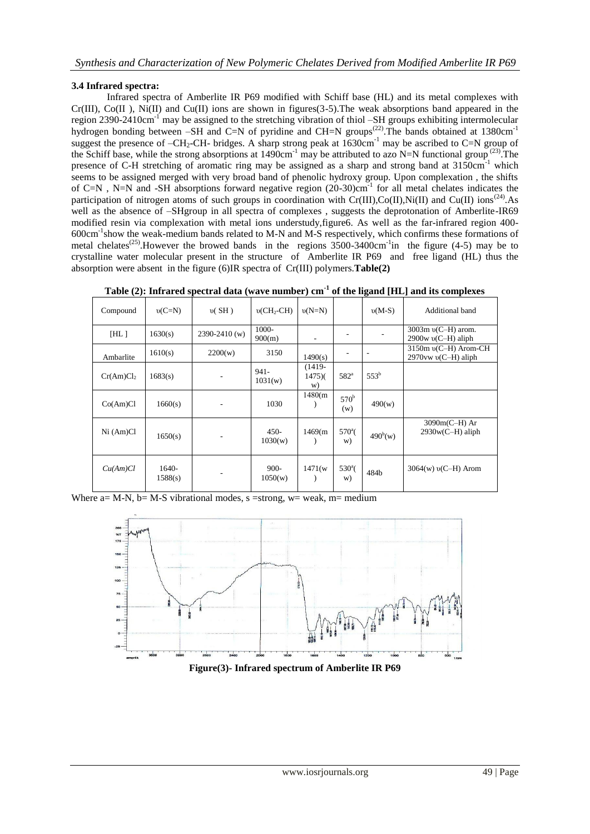# **3.4 Infrared spectra:**

Infrared spectra of Amberlite IR P69 modified with Schiff base (HL) and its metal complexes with  $Cr(III)$ ,  $Co(II)$ , Ni $(II)$  and  $Cu(II)$  ions are shown in figures(3-5). The weak absorptions band appeared in the region 2390-2410cm<sup>-1</sup> may be assigned to the stretching vibration of thiol –SH groups exhibiting intermolecular hydrogen bonding between –SH and C=N of pyridine and CH=N groups<sup>(22)</sup>. The bands obtained at 1380cm<sup>-1</sup> suggest the presence of –CH<sub>2</sub>-CH- bridges. A sharp strong peak at 1630cm<sup>-1</sup> may be ascribed to C=N group of the Schiff base, while the strong absorptions at  $1490 \text{cm}^{-1}$  may be attributed to azo N=N functional group<sup>(23)</sup>. The presence of C-H stretching of aromatic ring may be assigned as a sharp and strong band at 3150cm<sup>-1</sup> which seems to be assigned merged with very broad band of phenolic hydroxy group. Upon complexation, the shifts of C=N, N=N and -SH absorptions forward negative region (20-30)cm<sup>-1</sup> for all metal chelates indicates the participation of nitrogen atoms of such groups in coordination with  $Cr(III), Co(II), Ni(II)$  and  $Cu(II)$  ions<sup>(24)</sup>. As well as the absence of –SHgroup in all spectra of complexes, suggests the deprotonation of Amberlite-IR69 modified resin via complexation with metal ions understudy,figure6. As well as the far-infrared region 400- 600cm-1 show the weak-medium bands related to M-N and M-S respectively, which confirms these formations of metal chelates<sup>(25)</sup>. However the browed bands in the regions  $3500-3400 \text{cm}^{-1}$  in the figure (4-5) may be to crystalline water molecular present in the structure of Amberlite IR P69 and free ligand (HL) thus the absorption were absent in the figure (6)IR spectra of Cr(III) polymers.**Table(2)**

| Compound              | $v(C=N)$         | v(SH)             | $v(CH_2-CH)$       | $v(N=N)$                 |                         | $v(M-S)$   | Additional band                                     |
|-----------------------|------------------|-------------------|--------------------|--------------------------|-------------------------|------------|-----------------------------------------------------|
| [HL]                  | 1630(s)          | $2390 - 2410$ (w) | 1000-<br>900(m)    |                          |                         |            | 3003m v(C-H) arom.<br>$2900w$ v(C-H) aliph          |
| Ambarlite             | 1610(s)          | 2200(w)           | 3150               | 1490(s)                  |                         |            | 3150m v(C-H) Arom-CH<br>$2970$ vw $\nu$ (C-H) aliph |
| Cr(Am)Cl <sub>2</sub> | 1683(s)          |                   | $941 -$<br>1031(w) | $(1419 -$<br>1475(<br>W) | 582 <sup>a</sup>        | $553^b$    |                                                     |
| Co(Am)Cl              | 1660(s)          |                   | 1030               | 1480(m)                  | 570 <sup>b</sup><br>(w) | 490(w)     |                                                     |
| Ni (Am)Cl             | 1650(s)          |                   | $450-$<br>1030(w)  | 1469(m)                  | $570^{\circ}$ (<br>W)   | $490^b(w)$ | $3090m(C-H)$ Ar<br>$2930w(C-H)$ aliph               |
| Cu(Am)Cl              | 1640-<br>1588(s) |                   | $900 -$<br>1050(w) | 1471(w                   | $530^{\circ}$ (<br>W)   | 484b       | $3064(w)$ v(C-H) Arom                               |

**Table (2): Infrared spectral data (wave number) cm-1 of the ligand [HL] and its complexes**

Where  $a= M-N$ ,  $b= M-S$  vibrational modes,  $s = strong$ ,  $w = weak$ ,  $m = medium$ 



**Figure(3)- Infrared spectrum of Amberlite IR P69**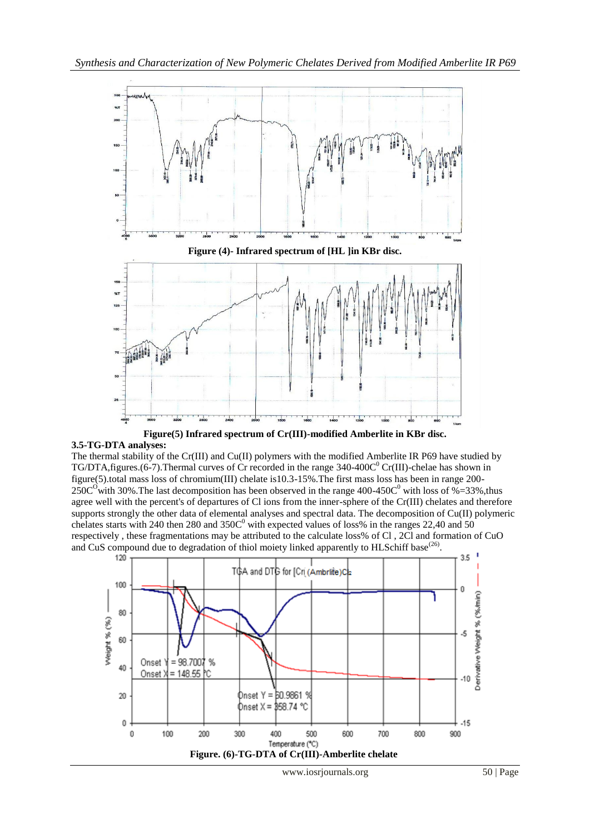

**Figure(5) Infrared spectrum of Cr(III)-modified Amberlite in KBr disc.**

# **3.5-TG-DTA analyses:**

The thermal stability of the Cr(III) and Cu(II) polymers with the modified Amberlite IR P69 have studied by TG/DTA, figures. (6-7). Thermal curves of Cr recorded in the range  $340-400C^0$  Cr(III)-chelae has shown in figure(5).total mass loss of chromium(III) chelate is10.3-15%.The first mass loss has been in range 200-  $250C<sup>o</sup>$  with 30%. The last decomposition has been observed in the range 400-450 $C<sup>o</sup>$  with loss of %=33%, thus agree well with the percent's of departures of Cl ions from the inner-sphere of the Cr(III) chelates and therefore supports strongly the other data of elemental analyses and spectral data. The decomposition of Cu(II) polymeric chelates starts with 240 then 280 and  $350C<sup>0</sup>$  with expected values of loss% in the ranges 22,40 and 50 respectively , these fragmentations may be attributed to the calculate loss% of Cl , 2Cl and formation of CuO and CuS compound due to degradation of thiol moiety linked apparently to HLSchiff base<sup>(26)</sup>.

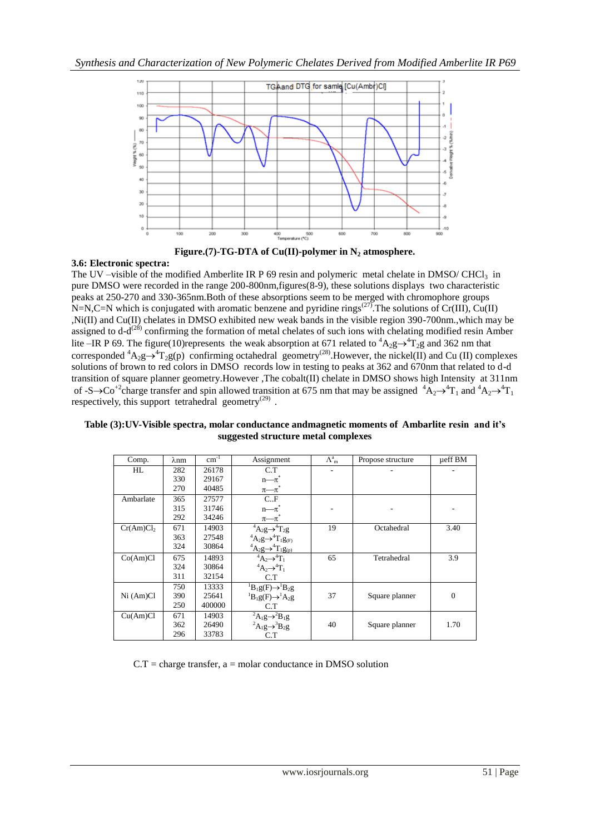



## **3.6: Electronic spectra:**

The UV –visible of the modified Amberlite IR P 69 resin and polymeric metal chelate in DMSO/ CHCl<sub>3</sub> in pure DMSO were recorded in the range 200-800nm,figures(8-9), these solutions displays two characteristic peaks at 250-270 and 330-365nm.Both of these absorptions seem to be merged with chromophore groups N=N,C=N which is conjugated with aromatic benzene and pyridine rings<sup>(27)</sup>. The solutions of Cr(III), Cu(II) ,Ni(II) and Cu(II) chelates in DMSO exhibited new weak bands in the visible region 390-700nm.,which may be assigned to  $d-d^{(28)}$  confirming the formation of metal chelates of such ions with chelating modified resin Amber lite –IR P 69. The figure(10)represents the weak absorption at 671 related to  ${}^{4}A_{2}g\rightarrow {}^{4}T_{2}g$  and 362 nm that corresponded  ${}^4A_2g \rightarrow {}^4T_2g(p)$  confirming octahedral geometry<sup>(28)</sup>. However, the nickel(II) and Cu (II) complexes solutions of brown to red colors in DMSO records low in testing to peaks at 362 and 670nm that related to d-d transition of square planner geometry.However ,The cobalt(II) chelate in DMSO shows high Intensity at 311nm of -S $\rightarrow$ Co<sup>+2</sup>charge transfer and spin allowed transition at 675 nm that may be assigned  ${}^4A_2\rightarrow {}^4T_1$  and  ${}^4A_2\rightarrow {}^4T_1$ respectively, this support tetrahedral geometry<sup>(29)</sup>.

| Table (3): UV-Visible spectra, molar conductance andmagnetic moments of Ambarlite resin and it's |  |  |  |  |  |  |  |  |
|--------------------------------------------------------------------------------------------------|--|--|--|--|--|--|--|--|
| suggested structure metal complexes                                                              |  |  |  |  |  |  |  |  |

| Comp.                 | λnm | $cm^{-1}$ | Assignment                                                                                                                  | $\Lambda^a_m$ | Propose structure | ueff BM  |
|-----------------------|-----|-----------|-----------------------------------------------------------------------------------------------------------------------------|---------------|-------------------|----------|
| HL                    | 282 | 26178     | C.T                                                                                                                         |               |                   |          |
|                       | 330 | 29167     | $n - \pi$                                                                                                                   |               |                   |          |
|                       | 270 | 40485     | $\pi$ — $\pi^{\degree}$                                                                                                     |               |                   |          |
| Ambarlate             | 365 | 27577     | C.F                                                                                                                         |               |                   |          |
|                       | 315 | 31746     | $n - \pi$ <sup>*</sup>                                                                                                      |               |                   |          |
|                       | 292 | 34246     | $\pi$ — $\pi^*$                                                                                                             |               |                   |          |
| Cr(Am)Cl <sub>2</sub> | 671 | 14903     | $\overline{^{4}A_{2}g} \rightarrow ^{4}T_{2}g$                                                                              | 19            | Octahedral        | 3.40     |
|                       | 363 | 27548     |                                                                                                                             |               |                   |          |
|                       | 324 | 30864     | $^{4}A_{2}g \rightarrow ^{4}T_{1}g_{(F)}$<br>$^{4}A_{2}g \rightarrow ^{4}T_{1}g_{(p)}$<br>$^{4}A_{2} \rightarrow ^{4}T_{1}$ |               |                   |          |
| Co(Am)Cl              | 675 | 14893     |                                                                                                                             | 65            | Tetrahedral       | 3.9      |
|                       | 324 | 30864     | $A_2 \rightarrow A_1$                                                                                                       |               |                   |          |
|                       | 311 | 32154     | C.T                                                                                                                         |               |                   |          |
|                       | 750 | 13333     | ${}^{1}B_{1}g(F) \rightarrow {}^{1}B_{2}g$                                                                                  |               |                   |          |
| Ni (Am)Cl             | 390 | 25641     | ${}^{1}B_{1}g(F) \rightarrow {}^{1}A_{2}g$                                                                                  | 37            | Square planner    | $\theta$ |
|                       | 250 | 400000    | C.T                                                                                                                         |               |                   |          |
| Cu(Am)Cl              | 671 | 14903     | ${}^2A_1g \rightarrow {}^2B_1g$                                                                                             |               |                   |          |
|                       | 362 | 26490     | ${}^2A_1g \rightarrow {}^3B_2g$                                                                                             | 40            | Square planner    | 1.70     |
|                       | 296 | 33783     | C.T                                                                                                                         |               |                   |          |

 $C.T = charge transfer, a = molar conductance in DMSO solution$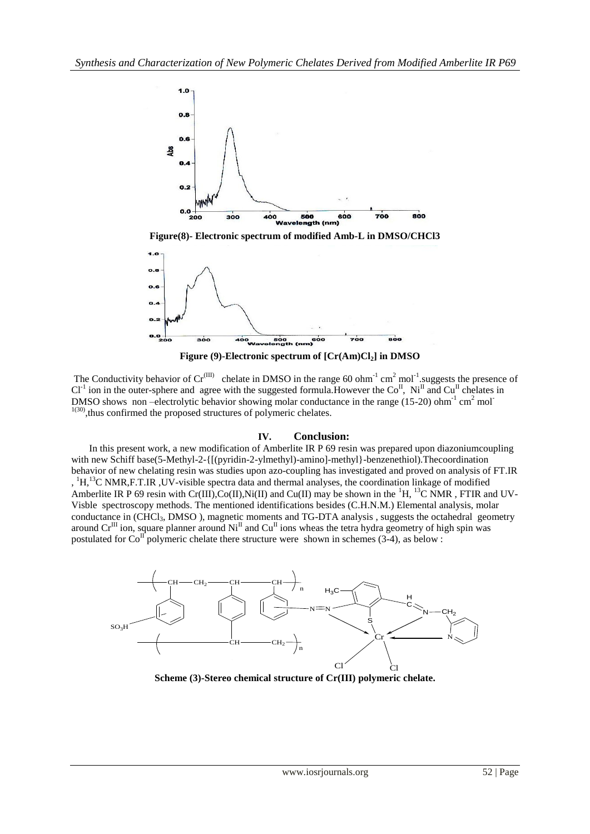

**Figure(8)- Electronic spectrum of modified Amb-L in DMSO/CHCl3**



 **Figure (9)-Electronic spectrum of [Cr(Am)Cl2] in DMSO**

The Conductivity behavior of  $Cr^{(III)}$  chelate in DMSO in the range 60 ohm<sup>-1</sup> cm<sup>2</sup> mol<sup>-1</sup>. suggests the presence of  $Cl<sup>-1</sup>$  ion in the outer-sphere and agree with the suggested formula. However the  $Co<sup>H</sup>$ , Ni<sup>II</sup> and Cu<sup>II</sup> chelates in DMSO shows non-electrolytic behavior showing molar conductance in the range (15-20) ohm<sup>-1</sup> cm<sup>2</sup> mol<sup>-1</sup>  $1(30)$ , thus confirmed the proposed structures of polymeric chelates.

#### **IV. Conclusion:**

In this present work, a new modification of Amberlite IR P 69 resin was prepared upon diazoniumcoupling with new Schiff base(5-Methyl-2-{[(pyridin-2-ylmethyl)-amino]-methyl}-benzenethiol).Thecoordination behavior of new chelating resin was studies upon azo-coupling has investigated and proved on analysis of FT.IR , <sup>1</sup>H,<sup>13</sup>C NMR,F.T.IR ,UV-visible spectra data and thermal analyses, the coordination linkage of modified Amberlite IR P 69 resin with Cr(III),Co(II),Ni(II) and Cu(II) may be shown in the  ${}^{1}H$ ,  ${}^{13}C$  NMR, FTIR and UV-Visble spectroscopy methods. The mentioned identifications besides (C.H.N.M.) Elemental analysis, molar conductance in (CHCl<sub>3</sub>, DMSO), magnetic moments and TG-DTA analysis, suggests the octahedral geometry around  $Cr<sup>III</sup>$  ion, square planner around  $Ni<sup>II</sup>$  and  $Cu<sup>II</sup>$  ions wheas the tetra hydra geometry of high spin was postulated for  $Co<sup>II</sup>$  polymeric chelate there structure were shown in schemes (3-4), as below :



**Scheme (3)-Stereo chemical structure of Cr(III) polymeric chelate.**